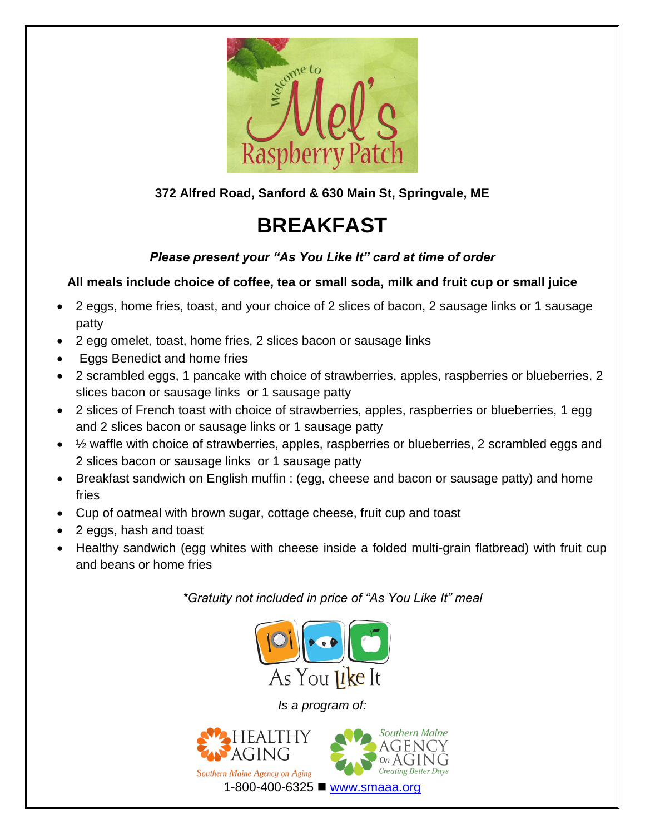

**372 Alfred Road, Sanford & 630 Main St, Springvale, ME** 

## **BREAKFAST**

#### *Please present your "As You Like It" card at time of order*

#### **All meals include choice of coffee, tea or small soda, milk and fruit cup or small juice**

- 2 eggs, home fries, toast, and your choice of 2 slices of bacon, 2 sausage links or 1 sausage patty
- 2 egg omelet, toast, home fries, 2 slices bacon or sausage links
- Eggs Benedict and home fries
- 2 scrambled eggs, 1 pancake with choice of strawberries, apples, raspberries or blueberries, 2 slices bacon or sausage links or 1 sausage patty
- 2 slices of French toast with choice of strawberries, apples, raspberries or blueberries, 1 egg and 2 slices bacon or sausage links or 1 sausage patty
- $\frac{1}{2}$  waffle with choice of strawberries, apples, raspberries or blueberries, 2 scrambled eggs and 2 slices bacon or sausage links or 1 sausage patty
- Breakfast sandwich on English muffin : (egg, cheese and bacon or sausage patty) and home fries
- Cup of oatmeal with brown sugar, cottage cheese, fruit cup and toast
- 2 eggs, hash and toast
- Healthy sandwich (egg whites with cheese inside a folded multi-grain flatbread) with fruit cup and beans or home fries

*\*Gratuity not included in price of "As You Like It" meal*



*Is a program of:*